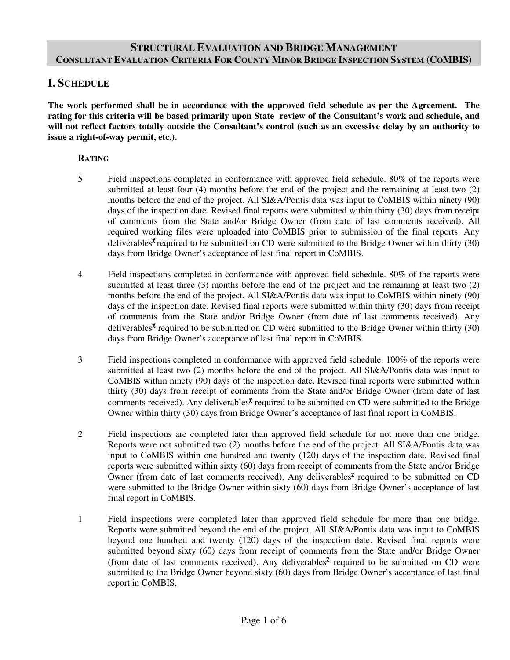# **STRUCTURAL EVALUATION AND BRIDGE MANAGEMENT CONSULTANT EVALUATION CRITERIA FOR COUNTY MINOR BRIDGE INSPECTION SYSTEM (COMBIS)**

# **I. SCHEDULE**

**The work performed shall be in accordance with the approved field schedule as per the Agreement. The rating for this criteria will be based primarily upon State review of the Consultant's work and schedule, and will not reflect factors totally outside the Consultant's control (such as an excessive delay by an authority to issue a right-of-way permit, etc.).** 

### **RATING**

- 5 Field inspections completed in conformance with approved field schedule. 80% of the reports were submitted at least four (4) months before the end of the project and the remaining at least two (2) months before the end of the project. All SI&A/Pontis data was input to CoMBIS within ninety (90) days of the inspection date. Revised final reports were submitted within thirty (30) days from receipt of comments from the State and/or Bridge Owner (from date of last comments received). All required working files were uploaded into CoMBIS prior to submission of the final reports. Any deliverables<sup> $\chi$ </sup> required to be submitted on CD were submitted to the Bridge Owner within thirty (30) days from Bridge Owner's acceptance of last final report in CoMBIS.
- 4 Field inspections completed in conformance with approved field schedule. 80% of the reports were submitted at least three (3) months before the end of the project and the remaining at least two (2) months before the end of the project. All SI&A/Pontis data was input to CoMBIS within ninety (90) days of the inspection date. Revised final reports were submitted within thirty (30) days from receipt of comments from the State and/or Bridge Owner (from date of last comments received). Any deliverables<sup> $\chi$ </sup> required to be submitted on CD were submitted to the Bridge Owner within thirty (30) days from Bridge Owner's acceptance of last final report in CoMBIS.
- 3 Field inspections completed in conformance with approved field schedule. 100% of the reports were submitted at least two (2) months before the end of the project. All SI&A/Pontis data was input to CoMBIS within ninety (90) days of the inspection date. Revised final reports were submitted within thirty (30) days from receipt of comments from the State and/or Bridge Owner (from date of last comments received). Any deliverables<sup> $\chi$ </sup> required to be submitted on CD were submitted to the Bridge Owner within thirty (30) days from Bridge Owner's acceptance of last final report in CoMBIS.
- 2 Field inspections are completed later than approved field schedule for not more than one bridge. Reports were not submitted two (2) months before the end of the project. All SI&A/Pontis data was input to CoMBIS within one hundred and twenty (120) days of the inspection date. Revised final reports were submitted within sixty (60) days from receipt of comments from the State and/or Bridge Owner (from date of last comments received). Any deliverables<sup> $\chi$ </sup> required to be submitted on CD were submitted to the Bridge Owner within sixty (60) days from Bridge Owner's acceptance of last final report in CoMBIS.
- 1 Field inspections were completed later than approved field schedule for more than one bridge. Reports were submitted beyond the end of the project. All SI&A/Pontis data was input to CoMBIS beyond one hundred and twenty (120) days of the inspection date. Revised final reports were submitted beyond sixty (60) days from receipt of comments from the State and/or Bridge Owner (from date of last comments received). Any deliverables<sup> $\chi$ </sup> required to be submitted on CD were submitted to the Bridge Owner beyond sixty (60) days from Bridge Owner's acceptance of last final report in CoMBIS.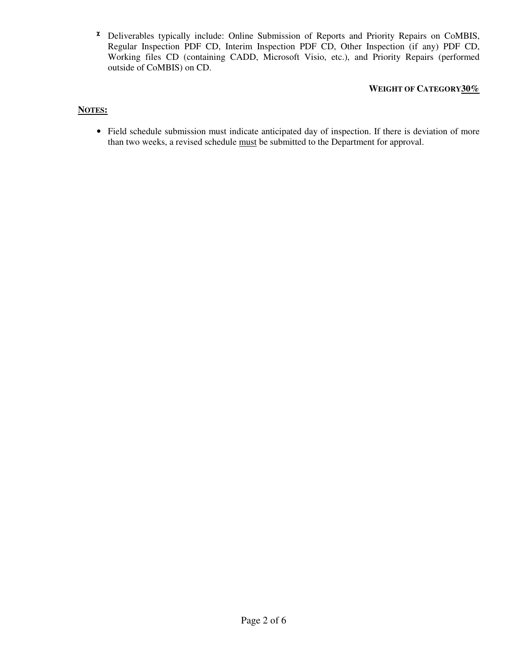<sup>χ</sup> Deliverables typically include: Online Submission of Reports and Priority Repairs on CoMBIS, Regular Inspection PDF CD, Interim Inspection PDF CD, Other Inspection (if any) PDF CD, Working files CD (containing CADD, Microsoft Visio, etc.), and Priority Repairs (performed outside of CoMBIS) on CD.

# **WEIGHT OF CATEGORY30%**

## **NOTES:**

• Field schedule submission must indicate anticipated day of inspection. If there is deviation of more than two weeks, a revised schedule must be submitted to the Department for approval.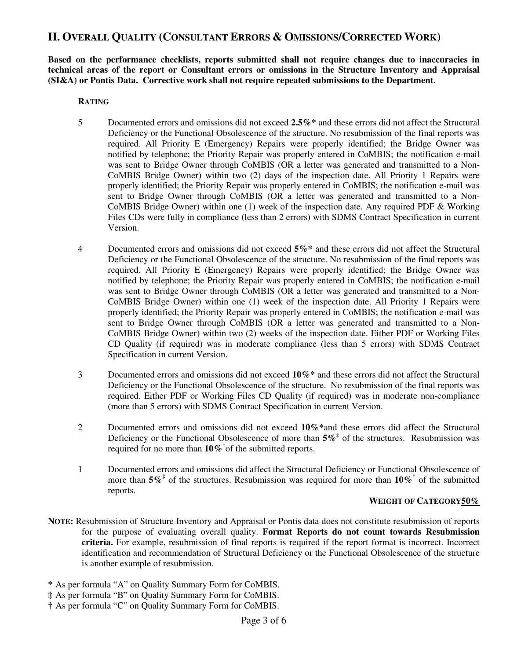# **II. OVERALL QUALITY (CONSULTANT ERRORS & OMISSIONS/CORRECTED WORK)**

**Based on the performance checklists, reports submitted shall not require changes due to inaccuracies in technical areas of the report or Consultant errors or omissions in the Structure Inventory and Appraisal (SI&A) or Pontis Data. Corrective work shall not require repeated submissions to the Department.** 

### **RATING**

- 5 Documented errors and omissions did not exceed **2.5%\*** and these errors did not affect the Structural Deficiency or the Functional Obsolescence of the structure. No resubmission of the final reports was required. All Priority E (Emergency) Repairs were properly identified; the Bridge Owner was notified by telephone; the Priority Repair was properly entered in CoMBIS; the notification e-mail was sent to Bridge Owner through CoMBIS (OR a letter was generated and transmitted to a Non-CoMBIS Bridge Owner) within two (2) days of the inspection date. All Priority 1 Repairs were properly identified; the Priority Repair was properly entered in CoMBIS; the notification e-mail was sent to Bridge Owner through CoMBIS (OR a letter was generated and transmitted to a Non-CoMBIS Bridge Owner) within one (1) week of the inspection date. Any required PDF & Working Files CDs were fully in compliance (less than 2 errors) with SDMS Contract Specification in current Version.
- 4 Documented errors and omissions did not exceed **5%\*** and these errors did not affect the Structural Deficiency or the Functional Obsolescence of the structure. No resubmission of the final reports was required. All Priority E (Emergency) Repairs were properly identified; the Bridge Owner was notified by telephone; the Priority Repair was properly entered in CoMBIS; the notification e-mail was sent to Bridge Owner through CoMBIS (OR a letter was generated and transmitted to a Non-CoMBIS Bridge Owner) within one (1) week of the inspection date. All Priority 1 Repairs were properly identified; the Priority Repair was properly entered in CoMBIS; the notification e-mail was sent to Bridge Owner through CoMBIS (OR a letter was generated and transmitted to a Non-CoMBIS Bridge Owner) within two (2) weeks of the inspection date. Either PDF or Working Files CD Quality (if required) was in moderate compliance (less than 5 errors) with SDMS Contract Specification in current Version.
- 3 Documented errors and omissions did not exceed **10%\*** and these errors did not affect the Structural Deficiency or the Functional Obsolescence of the structure. No resubmission of the final reports was required. Either PDF or Working Files CD Quality (if required) was in moderate non-compliance (more than 5 errors) with SDMS Contract Specification in current Version.
- 2 Documented errors and omissions did not exceed **10%\***and these errors did affect the Structural Deficiency or the Functional Obsolescence of more than  $5\%$ <sup> $\ddagger$ </sup> of the structures. Resubmission was required for no more than **10%†** of the submitted reports.
- 1 Documented errors and omissions did affect the Structural Deficiency or Functional Obsolescence of more than  $5\%$ <sup> $\ddagger$ </sup> of the structures. Resubmission was required for more than  $10\%$ <sup> $\ddagger$ </sup> of the submitted reports.

#### **WEIGHT OF CATEGORY50%**

- **NOTE:** Resubmission of Structure Inventory and Appraisal or Pontis data does not constitute resubmission of reports for the purpose of evaluating overall quality. **Format Reports do not count towards Resubmission criteria.** For example, resubmission of final reports is required if the report format is incorrect. Incorrect identification and recommendation of Structural Deficiency or the Functional Obsolescence of the structure is another example of resubmission.
- **\*** As per formula "A" on Quality Summary Form for CoMBIS.
- **‡** As per formula "B" on Quality Summary Form for CoMBIS.
- **†** As per formula "C" on Quality Summary Form for CoMBIS.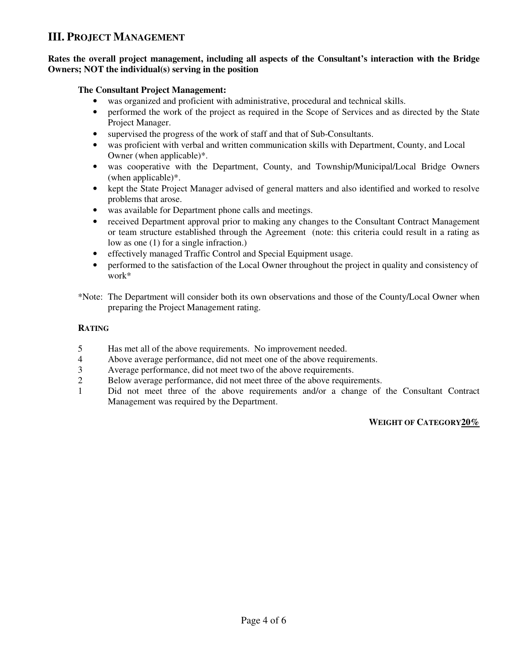# **III. PROJECT MANAGEMENT**

## **Rates the overall project management, including all aspects of the Consultant's interaction with the Bridge Owners; NOT the individual(s) serving in the position**

## **The Consultant Project Management:**

- was organized and proficient with administrative, procedural and technical skills.
- performed the work of the project as required in the Scope of Services and as directed by the State Project Manager.
- supervised the progress of the work of staff and that of Sub-Consultants.
- was proficient with verbal and written communication skills with Department, County, and Local Owner (when applicable)\*.
- was cooperative with the Department, County, and Township/Municipal/Local Bridge Owners (when applicable)\*.
- kept the State Project Manager advised of general matters and also identified and worked to resolve problems that arose.
- was available for Department phone calls and meetings.
- received Department approval prior to making any changes to the Consultant Contract Management or team structure established through the Agreement (note: this criteria could result in a rating as low as one (1) for a single infraction.)
- effectively managed Traffic Control and Special Equipment usage.
- performed to the satisfaction of the Local Owner throughout the project in quality and consistency of work\*
- \*Note: The Department will consider both its own observations and those of the County/Local Owner when preparing the Project Management rating.

## **RATING**

- 5 Has met all of the above requirements. No improvement needed.
- 4 Above average performance, did not meet one of the above requirements.
- 3 Average performance, did not meet two of the above requirements.<br>2 Below average performance, did not meet three of the above require
- Below average performance, did not meet three of the above requirements.
- 1 Did not meet three of the above requirements and/or a change of the Consultant Contract Management was required by the Department.

# **WEIGHT OF CATEGORY20%**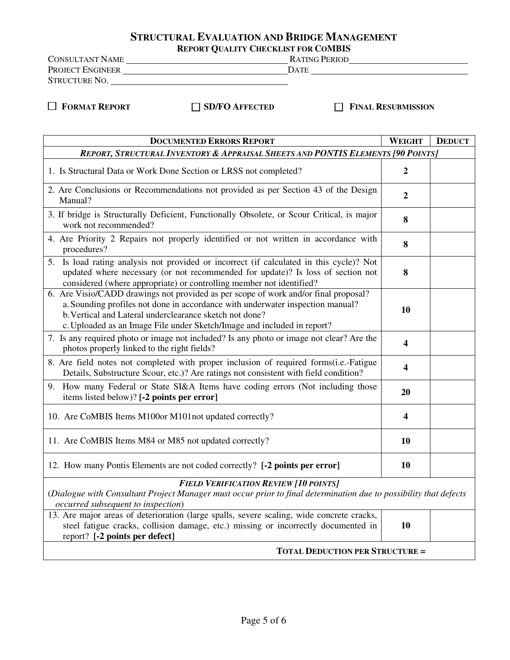# **STRUCTURAL EVALUATION AND BRIDGE MANAGEMENT**

**REPORT QUALITY CHECKLIST FOR COMBIS** 

CONSULTANT NAME RATING PERIOD PROJECT ENGINEER DATE STRUCTURE NO.

 **FORMAT REPORT SD/FO AFFECTED FINAL RESUBMISSION**

| <b>DOCUMENTED ERRORS REPORT</b>                                                                                                                                                                                                                                                                             | <b>WEIGHT</b>           | <b>DEDUCT</b> |  |  |  |  |  |
|-------------------------------------------------------------------------------------------------------------------------------------------------------------------------------------------------------------------------------------------------------------------------------------------------------------|-------------------------|---------------|--|--|--|--|--|
| REPORT, STRUCTURAL INVENTORY & APPRAISAL SHEETS AND PONTIS ELEMENTS [90 POINTS]                                                                                                                                                                                                                             |                         |               |  |  |  |  |  |
| 1. Is Structural Data or Work Done Section or LRSS not completed?                                                                                                                                                                                                                                           | $\boldsymbol{2}$        |               |  |  |  |  |  |
| 2. Are Conclusions or Recommendations not provided as per Section 43 of the Design<br>Manual?                                                                                                                                                                                                               | $\boldsymbol{2}$        |               |  |  |  |  |  |
| 3. If bridge is Structurally Deficient, Functionally Obsolete, or Scour Critical, is major<br>work not recommended?                                                                                                                                                                                         | 8                       |               |  |  |  |  |  |
| 4. Are Priority 2 Repairs not properly identified or not written in accordance with<br>procedures?                                                                                                                                                                                                          | 8                       |               |  |  |  |  |  |
| 5. Is load rating analysis not provided or incorrect (if calculated in this cycle)? Not<br>updated where necessary (or not recommended for update)? Is loss of section not<br>considered (where appropriate) or controlling member not identified?                                                          | 8                       |               |  |  |  |  |  |
| 6. Are Visio/CADD drawings not provided as per scope of work and/or final proposal?<br>a. Sounding profiles not done in accordance with underwater inspection manual?<br>b. Vertical and Lateral underclearance sketch not done?<br>c. Uploaded as an Image File under Sketch/Image and included in report? | 10                      |               |  |  |  |  |  |
| 7. Is any required photo or image not included? Is any photo or image not clear? Are the<br>photos properly linked to the right fields?                                                                                                                                                                     | 4                       |               |  |  |  |  |  |
| 8. Are field notes not completed with proper inclusion of required forms(i.e.-Fatigue<br>Details, Substructure Scour, etc.)? Are ratings not consistent with field condition?                                                                                                                               | $\overline{\mathbf{4}}$ |               |  |  |  |  |  |
| 9. How many Federal or State SI&A Items have coding errors (Not including those<br>items listed below)? [-2 points per error]                                                                                                                                                                               | 20                      |               |  |  |  |  |  |
| 10. Are CoMBIS Items M100or M101not updated correctly?                                                                                                                                                                                                                                                      | 4                       |               |  |  |  |  |  |
| 11. Are CoMBIS Items M84 or M85 not updated correctly?                                                                                                                                                                                                                                                      | 10                      |               |  |  |  |  |  |
| 12. How many Pontis Elements are not coded correctly? [-2 points per error]                                                                                                                                                                                                                                 | 10                      |               |  |  |  |  |  |
| <b>FIELD VERIFICATION REVIEW [10 POINTS]</b>                                                                                                                                                                                                                                                                |                         |               |  |  |  |  |  |
| (Dialogue with Consultant Project Manager must occur prior to final determination due to possibility that defects<br>occurred subsequent to inspection)                                                                                                                                                     |                         |               |  |  |  |  |  |
| 13. Are major areas of deterioration (large spalls, severe scaling, wide concrete cracks,<br>steel fatigue cracks, collision damage, etc.) missing or incorrectly documented in<br>report? [-2 points per defect]                                                                                           | 10                      |               |  |  |  |  |  |
| <b>TOTAL DEDUCTION PER STRUCTURE =</b>                                                                                                                                                                                                                                                                      |                         |               |  |  |  |  |  |